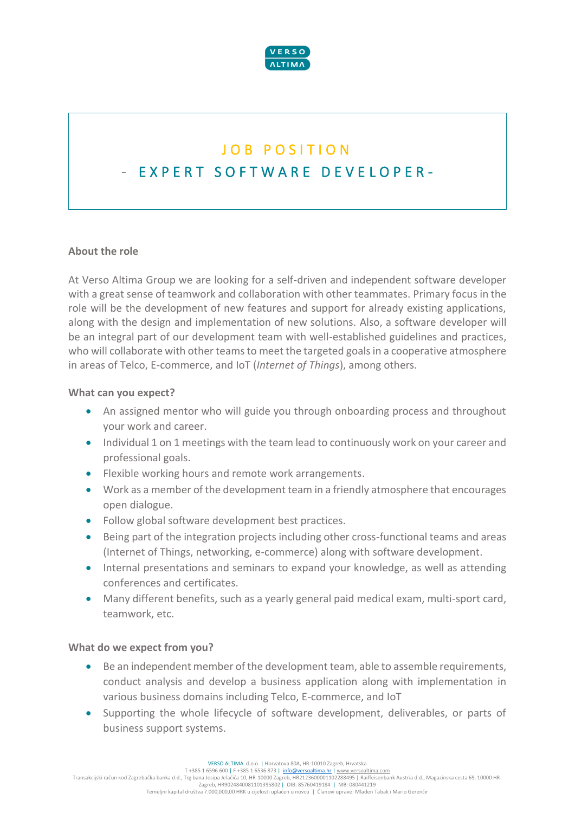

# JOB POSITION E X P E R T S O F T W A R E D E V E L O P E R -

## **About the role**

At Verso Altima Group we are looking for a self-driven and independent software developer with a great sense of teamwork and collaboration with other teammates. Primary focus in the role will be the development of new features and support for already existing applications, along with the design and implementation of new solutions. Also, a software developer will be an integral part of our development team with well-established guidelines and practices, who will collaborate with other teams to meet the targeted goals in a cooperative atmosphere in areas of Telco, E-commerce, and IoT (*Internet of Things*), among others.

#### **What can you expect?**

- An assigned mentor who will guide you through onboarding process and throughout your work and career.
- Individual 1 on 1 meetings with the team lead to continuously work on your career and professional goals.
- Flexible working hours and remote work arrangements.
- Work as a member of the development team in a friendly atmosphere that encourages open dialogue.
- Follow global software development best practices.
- Being part of the integration projects including other cross-functional teams and areas (Internet of Things, networking, e-commerce) along with software development.
- Internal presentations and seminars to expand your knowledge, as well as attending conferences and certificates.
- Many different benefits, such as a yearly general paid medical exam, multi-sport card, teamwork, etc.

#### **What do we expect from you?**

- Be an independent member of the development team, able to assemble requirements, conduct analysis and develop a business application along with implementation in various business domains including Telco, E-commerce, and IoT
- Supporting the whole lifecycle of software development, deliverables, or parts of business support systems.